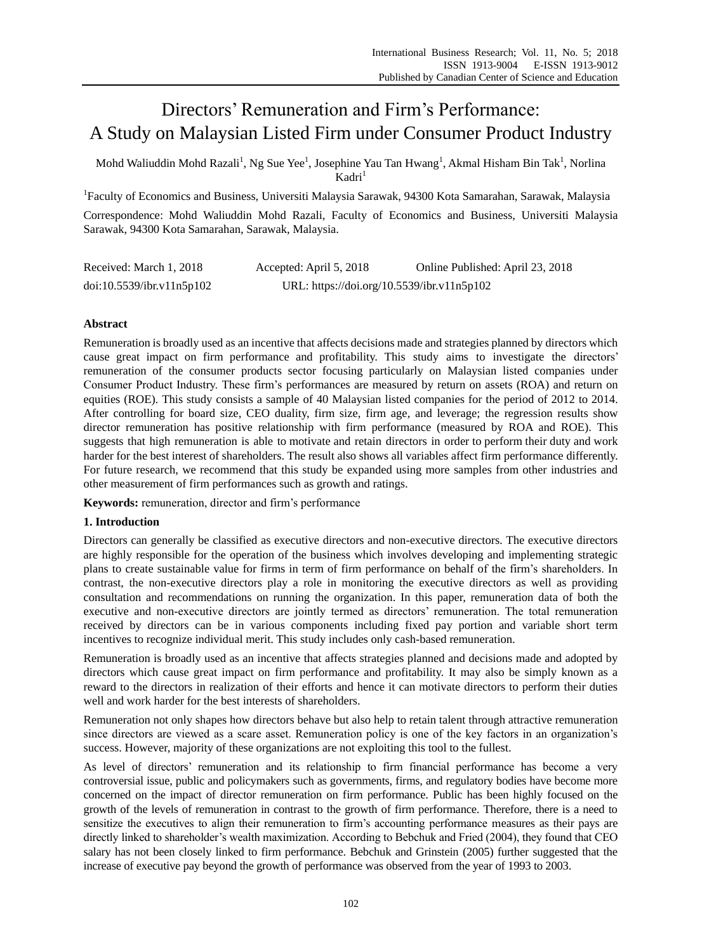# Directors' Remuneration and Firm's Performance: A Study on Malaysian Listed Firm under Consumer Product Industry

Mohd Waliuddin Mohd Razali<sup>1</sup>, Ng Sue Yee<sup>1</sup>, Josephine Yau Tan Hwang<sup>1</sup>, Akmal Hisham Bin Tak<sup>1</sup>, Norlina  $K$ adri<sup>1</sup>

<sup>1</sup>Faculty of Economics and Business, Universiti Malaysia Sarawak, 94300 Kota Samarahan, Sarawak, Malaysia Correspondence: Mohd Waliuddin Mohd Razali, Faculty of Economics and Business, Universiti Malaysia Sarawak, 94300 Kota Samarahan, Sarawak, Malaysia.

| Received: March 1, 2018   | Accepted: April 5, 2018                    | Online Published: April 23, 2018 |
|---------------------------|--------------------------------------------|----------------------------------|
| doi:10.5539/ibr.v11n5p102 | URL: https://doi.org/10.5539/ibr.v11n5p102 |                                  |

# **Abstract**

Remuneration is broadly used as an incentive that affects decisions made and strategies planned by directors which cause great impact on firm performance and profitability. This study aims to investigate the directors' remuneration of the consumer products sector focusing particularly on Malaysian listed companies under Consumer Product Industry. These firm's performances are measured by return on assets (ROA) and return on equities (ROE). This study consists a sample of 40 Malaysian listed companies for the period of 2012 to 2014. After controlling for board size, CEO duality, firm size, firm age, and leverage; the regression results show director remuneration has positive relationship with firm performance (measured by ROA and ROE). This suggests that high remuneration is able to motivate and retain directors in order to perform their duty and work harder for the best interest of shareholders. The result also shows all variables affect firm performance differently. For future research, we recommend that this study be expanded using more samples from other industries and other measurement of firm performances such as growth and ratings.

**Keywords:** remuneration, director and firm's performance

# **1. Introduction**

Directors can generally be classified as executive directors and non-executive directors. The executive directors are highly responsible for the operation of the business which involves developing and implementing strategic plans to create sustainable value for firms in term of firm performance on behalf of the firm's shareholders. In contrast, the non-executive directors play a role in monitoring the executive directors as well as providing consultation and recommendations on running the organization. In this paper, remuneration data of both the executive and non-executive directors are jointly termed as directors' remuneration. The total remuneration received by directors can be in various components including fixed pay portion and variable short term incentives to recognize individual merit. This study includes only cash-based remuneration.

Remuneration is broadly used as an incentive that affects strategies planned and decisions made and adopted by directors which cause great impact on firm performance and profitability. It may also be simply known as a reward to the directors in realization of their efforts and hence it can motivate directors to perform their duties well and work harder for the best interests of shareholders.

Remuneration not only shapes how directors behave but also help to retain talent through attractive remuneration since directors are viewed as a scare asset. Remuneration policy is one of the key factors in an organization's success. However, majority of these organizations are not exploiting this tool to the fullest.

As level of directors' remuneration and its relationship to firm financial performance has become a very controversial issue, public and policymakers such as governments, firms, and regulatory bodies have become more concerned on the impact of director remuneration on firm performance. Public has been highly focused on the growth of the levels of remuneration in contrast to the growth of firm performance. Therefore, there is a need to sensitize the executives to align their remuneration to firm's accounting performance measures as their pays are directly linked to shareholder's wealth maximization. According to Bebchuk and Fried (2004), they found that CEO salary has not been closely linked to firm performance. Bebchuk and Grinstein (2005) further suggested that the increase of executive pay beyond the growth of performance was observed from the year of 1993 to 2003.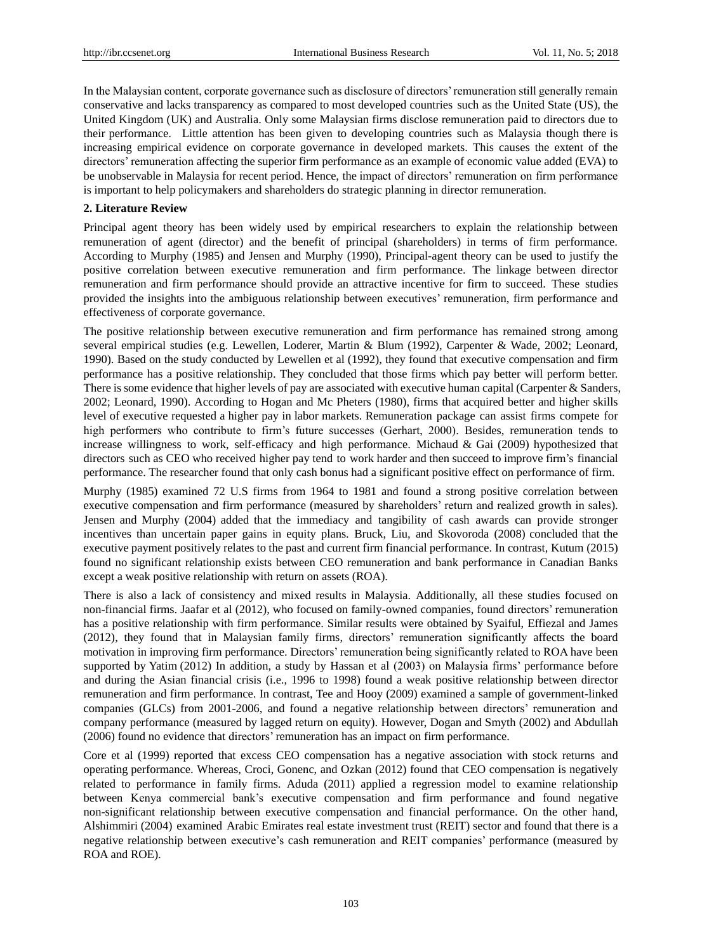In the Malaysian content, corporate governance such as disclosure of directors' remuneration still generally remain conservative and lacks transparency as compared to most developed countries such as the United State (US), the United Kingdom (UK) and Australia. Only some Malaysian firms disclose remuneration paid to directors due to their performance. Little attention has been given to developing countries such as Malaysia though there is increasing empirical evidence on corporate governance in developed markets. This causes the extent of the directors' remuneration affecting the superior firm performance as an example of economic value added (EVA) to be unobservable in Malaysia for recent period. Hence, the impact of directors' remuneration on firm performance is important to help policymakers and shareholders do strategic planning in director remuneration.

## **2. Literature Review**

Principal agent theory has been widely used by empirical researchers to explain the relationship between remuneration of agent (director) and the benefit of principal (shareholders) in terms of firm performance. According to Murphy (1985) and Jensen and Murphy (1990), Principal-agent theory can be used to justify the positive correlation between executive remuneration and firm performance. The linkage between director remuneration and firm performance should provide an attractive incentive for firm to succeed. These studies provided the insights into the ambiguous relationship between executives' remuneration, firm performance and effectiveness of corporate governance.

The positive relationship between executive remuneration and firm performance has remained strong among several empirical studies (e.g. Lewellen, Loderer, Martin & Blum (1992), Carpenter & Wade, 2002; Leonard, 1990). Based on the study conducted by Lewellen et al (1992), they found that executive compensation and firm performance has a positive relationship. They concluded that those firms which pay better will perform better. There is some evidence that higher levels of pay are associated with executive human capital (Carpenter & Sanders, 2002; Leonard, 1990). According to Hogan and Mc Pheters (1980), firms that acquired better and higher skills level of executive requested a higher pay in labor markets. Remuneration package can assist firms compete for high performers who contribute to firm's future successes (Gerhart, 2000). Besides, remuneration tends to increase willingness to work, self-efficacy and high performance. Michaud & Gai (2009) hypothesized that directors such as CEO who received higher pay tend to work harder and then succeed to improve firm's financial performance. The researcher found that only cash bonus had a significant positive effect on performance of firm.

Murphy (1985) examined 72 U.S firms from 1964 to 1981 and found a strong positive correlation between executive compensation and firm performance (measured by shareholders' return and realized growth in sales). Jensen and Murphy (2004) added that the immediacy and tangibility of cash awards can provide stronger incentives than uncertain paper gains in equity plans. Bruck, Liu, and Skovoroda (2008) concluded that the executive payment positively relates to the past and current firm financial performance. In contrast, Kutum (2015) found no significant relationship exists between CEO remuneration and bank performance in Canadian Banks except a weak positive relationship with return on assets (ROA).

There is also a lack of consistency and mixed results in Malaysia. Additionally, all these studies focused on non-financial firms. Jaafar et al (2012), who focused on family-owned companies, found directors' remuneration has a positive relationship with firm performance. Similar results were obtained by Syaiful, Effiezal and James (2012), they found that in Malaysian family firms, directors' remuneration significantly affects the board motivation in improving firm performance. Directors' remuneration being significantly related to ROA have been supported by Yatim (2012) In addition, a study by Hassan et al (2003) on Malaysia firms' performance before and during the Asian financial crisis (i.e., 1996 to 1998) found a weak positive relationship between director remuneration and firm performance. In contrast, Tee and Hooy (2009) examined a sample of government-linked companies (GLCs) from 2001-2006, and found a negative relationship between directors' remuneration and company performance (measured by lagged return on equity). However, Dogan and Smyth (2002) and Abdullah (2006) found no evidence that directors' remuneration has an impact on firm performance.

Core et al (1999) reported that excess CEO compensation has a negative association with stock returns and operating performance. Whereas, Croci, Gonenc, and Ozkan (2012) found that CEO compensation is negatively related to performance in family firms. Aduda (2011) applied a regression model to examine relationship between Kenya commercial bank's executive compensation and firm performance and found negative non-significant relationship between executive compensation and financial performance. On the other hand, Alshimmiri (2004) examined Arabic Emirates real estate investment trust (REIT) sector and found that there is a negative relationship between executive's cash remuneration and REIT companies' performance (measured by ROA and ROE).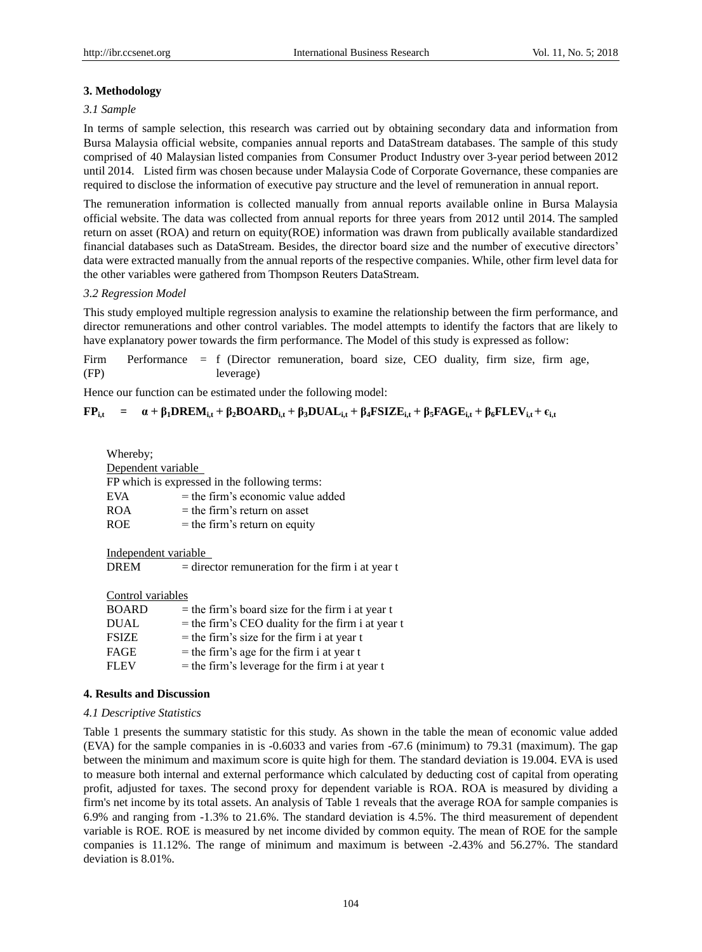## **3. Methodology**

#### *3.1 Sample*

In terms of sample selection, this research was carried out by obtaining secondary data and information from Bursa Malaysia official website, companies annual reports and DataStream databases. The sample of this study comprised of 40 Malaysian listed companies from Consumer Product Industry over 3-year period between 2012 until 2014. Listed firm was chosen because under Malaysia Code of Corporate Governance, these companies are required to disclose the information of executive pay structure and the level of remuneration in annual report.

The remuneration information is collected manually from annual reports available online in Bursa Malaysia official website. The data was collected from annual reports for three years from 2012 until 2014. The sampled return on asset (ROA) and return on equity(ROE) information was drawn from publically available standardized financial databases such as DataStream. Besides, the director board size and the number of executive directors' data were extracted manually from the annual reports of the respective companies. While, other firm level data for the other variables were gathered from Thompson Reuters DataStream.

## *3.2 Regression Model*

This study employed multiple regression analysis to examine the relationship between the firm performance, and director remunerations and other control variables. The model attempts to identify the factors that are likely to have explanatory power towards the firm performance. The Model of this study is expressed as follow:

Firm Performance = f (Director remuneration, board size, CEO duality, firm size, firm age, (FP) leverage)

Hence our function can be estimated under the following model:

# $FP_{i,t}$  =  $\alpha + \beta_1 DREM_{i,t} + \beta_2 BOARD_{i,t} + \beta_3 DUAL_{i,t} + \beta_4 FSIZE_{i,t} + \beta_5 FAGE_{i,t} + \beta_6 FLEV_{i,t} + \epsilon_{i,t}$

Whereby; Dependent variable FP which is expressed in the following terms:  $EVA =$  the firm's economic value added  $ROA$  = the firm's return on asset ROE  $=$  the firm's return on equity

Independent variable  $DREM = director$  remuneration for the firm i at year t

Control variables

| <b>BOARD</b> | $=$ the firm's board size for the firm i at year t  |
|--------------|-----------------------------------------------------|
| <b>DUAL</b>  | $=$ the firm's CEO duality for the firm i at year t |
| <b>FSIZE</b> | $=$ the firm's size for the firm i at year t        |
| FAGE         | $=$ the firm's age for the firm i at year t         |
| <b>FLEV</b>  | $=$ the firm's leverage for the firm i at year t    |
|              |                                                     |

#### **4. Results and Discussion**

#### *4.1 Descriptive Statistics*

Table 1 presents the summary statistic for this study. As shown in the table the mean of economic value added (EVA) for the sample companies in is -0.6033 and varies from -67.6 (minimum) to 79.31 (maximum). The gap between the minimum and maximum score is quite high for them. The standard deviation is 19.004. EVA is used to measure both internal and external performance which calculated by deducting cost of capital from operating profit, adjusted for taxes. The second proxy for dependent variable is ROA. ROA is measured by dividing a firm's net income by its total assets. An analysis of Table 1 reveals that the average ROA for sample companies is 6.9% and ranging from -1.3% to 21.6%. The standard deviation is 4.5%. The third measurement of dependent variable is ROE. ROE is measured by net income divided by common equity. The mean of ROE for the sample companies is 11.12%. The range of minimum and maximum is between -2.43% and 56.27%. The standard deviation is 8.01%.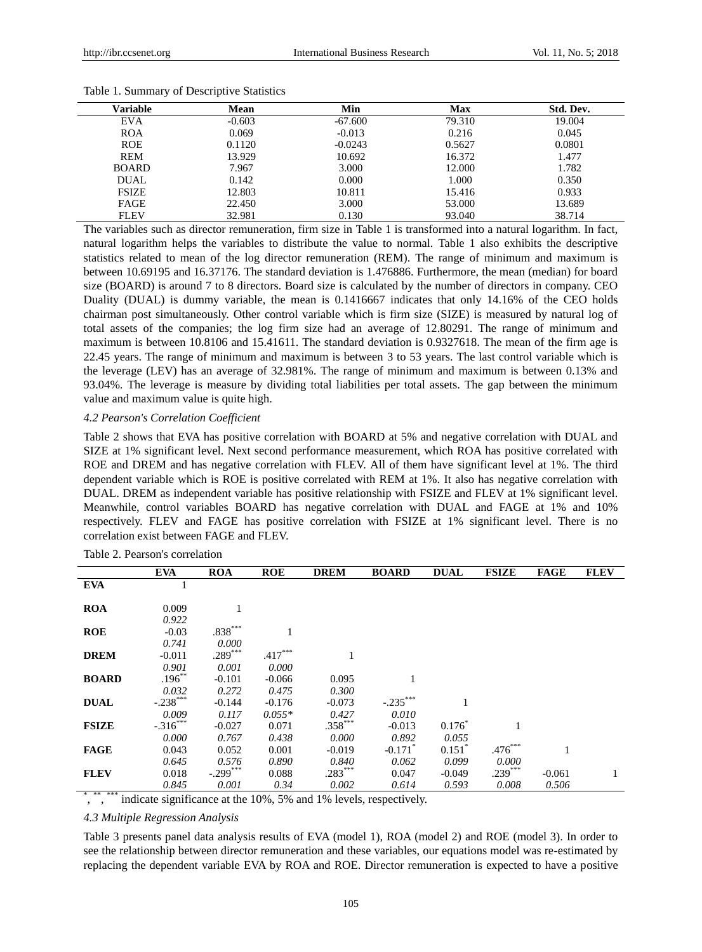| Variable     | Mean     | Min       | <b>Max</b> | Std. Dev. |
|--------------|----------|-----------|------------|-----------|
| EVA          | $-0.603$ | -67.600   | 79.310     | 19.004    |
| <b>ROA</b>   | 0.069    | $-0.013$  | 0.216      | 0.045     |
| <b>ROE</b>   | 0.1120   | $-0.0243$ | 0.5627     | 0.0801    |
| <b>REM</b>   | 13.929   | 10.692    | 16.372     | 1.477     |
| <b>BOARD</b> | 7.967    | 3.000     | 12.000     | 1.782     |
| <b>DUAL</b>  | 0.142    | 0.000     | 1.000      | 0.350     |
| <b>FSIZE</b> | 12.803   | 10.811    | 15.416     | 0.933     |
| FAGE         | 22.450   | 3.000     | 53.000     | 13.689    |
| <b>FLEV</b>  | 32.981   | 0.130     | 93.040     | 38.714    |

Table 1. Summary of Descriptive Statistics

The variables such as director remuneration, firm size in Table 1 is transformed into a natural logarithm. In fact, natural logarithm helps the variables to distribute the value to normal. Table 1 also exhibits the descriptive statistics related to mean of the log director remuneration (REM). The range of minimum and maximum is between 10.69195 and 16.37176. The standard deviation is 1.476886. Furthermore, the mean (median) for board size (BOARD) is around 7 to 8 directors. Board size is calculated by the number of directors in company. CEO Duality (DUAL) is dummy variable, the mean is 0.1416667 indicates that only 14.16% of the CEO holds chairman post simultaneously. Other control variable which is firm size (SIZE) is measured by natural log of total assets of the companies; the log firm size had an average of 12.80291. The range of minimum and maximum is between 10.8106 and 15.41611. The standard deviation is 0.9327618. The mean of the firm age is 22.45 years. The range of minimum and maximum is between 3 to 53 years. The last control variable which is the leverage (LEV) has an average of 32.981%. The range of minimum and maximum is between 0.13% and 93.04%. The leverage is measure by dividing total liabilities per total assets. The gap between the minimum value and maximum value is quite high.

## *4.2 Pearson's Correlation Coefficient*

Table 2 shows that EVA has positive correlation with BOARD at 5% and negative correlation with DUAL and SIZE at 1% significant level. Next second performance measurement, which ROA has positive correlated with ROE and DREM and has negative correlation with FLEV. All of them have significant level at 1%. The third dependent variable which is ROE is positive correlated with REM at 1%. It also has negative correlation with DUAL. DREM as independent variable has positive relationship with FSIZE and FLEV at 1% significant level. Meanwhile, control variables BOARD has negative correlation with DUAL and FAGE at 1% and 10% respectively. FLEV and FAGE has positive correlation with FSIZE at 1% significant level. There is no correlation exist between FAGE and FLEV.

|              | <b>EVA</b>  | <b>ROA</b>  | <b>ROE</b> | <b>DREM</b> | <b>BOARD</b>          | <b>DUAL</b>          | <b>FSIZE</b> | <b>FAGE</b> | <b>FLEV</b> |
|--------------|-------------|-------------|------------|-------------|-----------------------|----------------------|--------------|-------------|-------------|
| <b>EVA</b>   |             |             |            |             |                       |                      |              |             |             |
|              |             |             |            |             |                       |                      |              |             |             |
| <b>ROA</b>   | 0.009       |             |            |             |                       |                      |              |             |             |
|              | 0.922       |             |            |             |                       |                      |              |             |             |
| <b>ROE</b>   | $-0.03$     | $.838***$   |            |             |                       |                      |              |             |             |
|              | 0.741       | 0.000       |            |             |                       |                      |              |             |             |
| <b>DREM</b>  | $-0.011$    | $.289***$   | $.417***$  |             |                       |                      |              |             |             |
|              | 0.901       | 0.001       | 0.000      |             |                       |                      |              |             |             |
| <b>BOARD</b> | $.196***$   | $-0.101$    | $-0.066$   | 0.095       |                       |                      |              |             |             |
|              | 0.032       | 0.272       | 0.475      | 0.300       |                       |                      |              |             |             |
| <b>DUAL</b>  | $-.238$ *** | $-0.144$    | $-0.176$   | $-0.073$    | $-.235***$            |                      |              |             |             |
|              | 0.009       | 0.117       | $0.055*$   | 0.427       | 0.010                 |                      |              |             |             |
| <b>FSIZE</b> | $-.316***$  | $-0.027$    | 0.071      | $.358***$   | $-0.013$              | 0.176                |              |             |             |
|              | 0.000       | 0.767       | 0.438      | 0.000       | 0.892                 | 0.055                |              |             |             |
| <b>FAGE</b>  | 0.043       | 0.052       | 0.001      | $-0.019$    | $-0.171$ <sup>*</sup> | $0.151$ <sup>*</sup> | $.476***$    |             |             |
|              | 0.645       | 0.576       | 0.890      | 0.840       | 0.062                 | 0.099                | 0.000        |             |             |
| <b>FLEV</b>  | 0.018       | $-.299$ *** | 0.088      | $.283***$   | 0.047                 | $-0.049$             | $.239***$    | $-0.061$    | 1           |
|              | 0.845       | 0.001       | 0.34       | 0.002       | 0.614                 | 0.593                | 0.008        | 0.506       |             |

\* , \*\* , indicate significance at the  $10\%$ , 5% and 1% levels, respectively.

*4.3 Multiple Regression Analysis*

Table 3 presents panel data analysis results of EVA (model 1), ROA (model 2) and ROE (model 3). In order to see the relationship between director remuneration and these variables, our equations model was re-estimated by replacing the dependent variable EVA by ROA and ROE. Director remuneration is expected to have a positive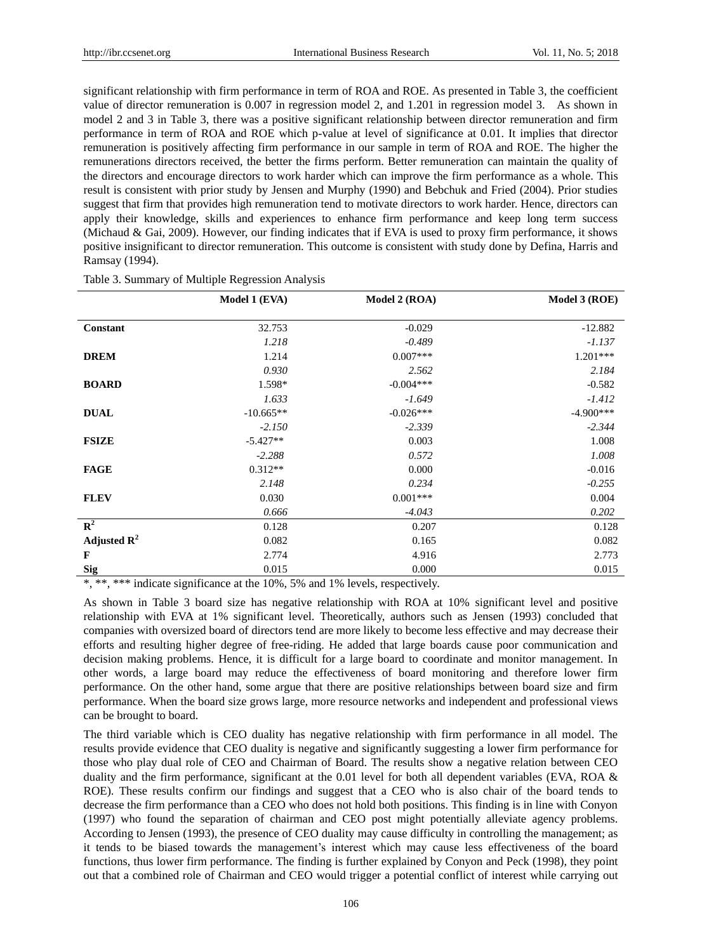significant relationship with firm performance in term of ROA and ROE. As presented in Table 3, the coefficient value of director remuneration is 0.007 in regression model 2, and 1.201 in regression model 3. As shown in model 2 and 3 in Table 3, there was a positive significant relationship between director remuneration and firm performance in term of ROA and ROE which p-value at level of significance at 0.01. It implies that director remuneration is positively affecting firm performance in our sample in term of ROA and ROE. The higher the remunerations directors received, the better the firms perform. Better remuneration can maintain the quality of the directors and encourage directors to work harder which can improve the firm performance as a whole. This result is consistent with prior study by Jensen and Murphy (1990) and Bebchuk and Fried (2004). Prior studies suggest that firm that provides high remuneration tend to motivate directors to work harder. Hence, directors can apply their knowledge, skills and experiences to enhance firm performance and keep long term success (Michaud & Gai, 2009). However, our finding indicates that if EVA is used to proxy firm performance, it shows positive insignificant to director remuneration. This outcome is consistent with study done by Defina, Harris and Ramsay (1994).

|                         | Model 1 (EVA) | Model 2 (ROA) | Model 3 (ROE) |
|-------------------------|---------------|---------------|---------------|
|                         |               |               |               |
| Constant                | 32.753        | $-0.029$      | $-12.882$     |
|                         | 1.218         | $-0.489$      | $-1.137$      |
| <b>DREM</b>             | 1.214         | $0.007***$    | $1.201***$    |
|                         | 0.930         | 2.562         | 2.184         |
| <b>BOARD</b>            | 1.598*        | $-0.004***$   | $-0.582$      |
|                         | 1.633         | $-1.649$      | $-1.412$      |
| <b>DUAL</b>             | $-10.665**$   | $-0.026***$   | $-4.900***$   |
|                         | $-2.150$      | $-2.339$      | $-2.344$      |
| <b>FSIZE</b>            | $-5.427**$    | 0.003         | 1.008         |
|                         | $-2.288$      | 0.572         | 1.008         |
| <b>FAGE</b>             | $0.312**$     | 0.000         | $-0.016$      |
|                         | 2.148         | 0.234         | $-0.255$      |
| <b>FLEV</b>             | 0.030         | $0.001***$    | 0.004         |
|                         | 0.666         | $-4.043$      | 0.202         |
| $\mathbb{R}^2$          | 0.128         | 0.207         | 0.128         |
| Adjusted $\mathbb{R}^2$ | 0.082         | 0.165         | 0.082         |
| F                       | 2.774         | 4.916         | 2.773         |
| <b>Sig</b>              | 0.015         | 0.000         | 0.015         |

Table 3. Summary of Multiple Regression Analysis

\*, \*\*, \*\*\* indicate significance at the 10%, 5% and 1% levels, respectively.

As shown in Table 3 board size has negative relationship with ROA at 10% significant level and positive relationship with EVA at 1% significant level. Theoretically, authors such as Jensen (1993) concluded that companies with oversized board of directors tend are more likely to become less effective and may decrease their efforts and resulting higher degree of free-riding. He added that large boards cause poor communication and decision making problems. Hence, it is difficult for a large board to coordinate and monitor management. In other words, a large board may reduce the effectiveness of board monitoring and therefore lower firm performance. On the other hand, some argue that there are positive relationships between board size and firm performance. When the board size grows large, more resource networks and independent and professional views can be brought to board.

The third variable which is CEO duality has negative relationship with firm performance in all model. The results provide evidence that CEO duality is negative and significantly suggesting a lower firm performance for those who play dual role of CEO and Chairman of Board. The results show a negative relation between CEO duality and the firm performance, significant at the 0.01 level for both all dependent variables (EVA, ROA & ROE). These results confirm our findings and suggest that a CEO who is also chair of the board tends to decrease the firm performance than a CEO who does not hold both positions. This finding is in line with Conyon (1997) who found the separation of chairman and CEO post might potentially alleviate agency problems. According to Jensen (1993), the presence of CEO duality may cause difficulty in controlling the management; as it tends to be biased towards the management's interest which may cause less effectiveness of the board functions, thus lower firm performance. The finding is further explained by Conyon and Peck (1998), they point out that a combined role of Chairman and CEO would trigger a potential conflict of interest while carrying out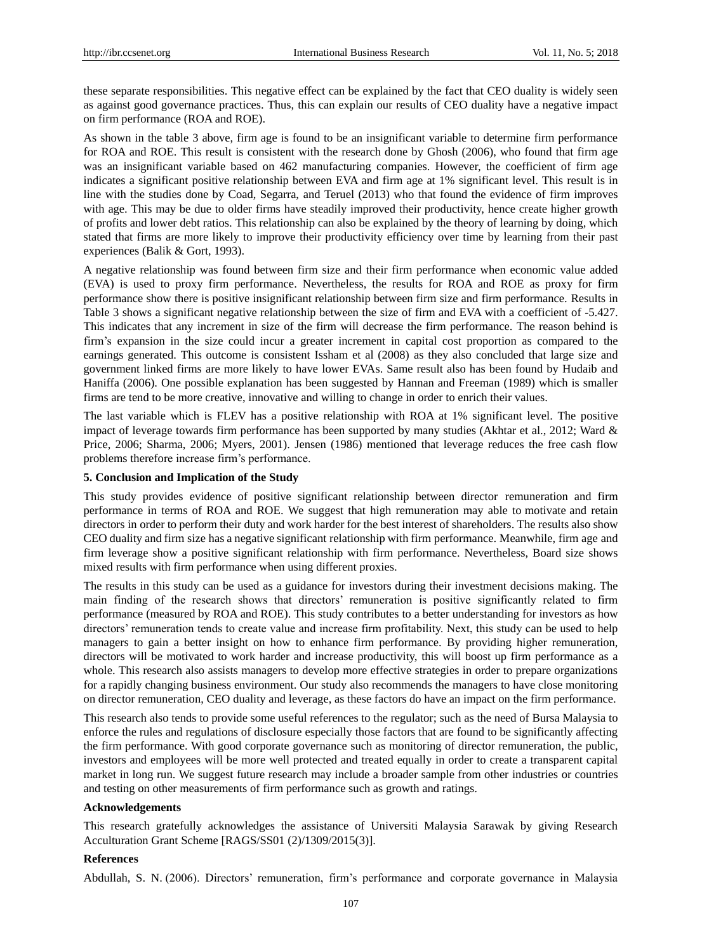these separate responsibilities. This negative effect can be explained by the fact that CEO duality is widely seen as against good governance practices. Thus, this can explain our results of CEO duality have a negative impact on firm performance (ROA and ROE).

As shown in the table 3 above, firm age is found to be an insignificant variable to determine firm performance for ROA and ROE. This result is consistent with the research done by Ghosh (2006), who found that firm age was an insignificant variable based on 462 manufacturing companies. However, the coefficient of firm age indicates a significant positive relationship between EVA and firm age at 1% significant level. This result is in line with the studies done by Coad, Segarra, and Teruel (2013) who that found the evidence of firm improves with age. This may be due to older firms have steadily improved their productivity, hence create higher growth of profits and lower debt ratios. This relationship can also be explained by the theory of learning by doing, which stated that firms are more likely to improve their productivity efficiency over time by learning from their past experiences (Balik & Gort, 1993).

A negative relationship was found between firm size and their firm performance when economic value added (EVA) is used to proxy firm performance. Nevertheless, the results for ROA and ROE as proxy for firm performance show there is positive insignificant relationship between firm size and firm performance. Results in Table 3 shows a significant negative relationship between the size of firm and EVA with a coefficient of -5.427. This indicates that any increment in size of the firm will decrease the firm performance. The reason behind is firm's expansion in the size could incur a greater increment in capital cost proportion as compared to the earnings generated. This outcome is consistent Issham et al (2008) as they also concluded that large size and government linked firms are more likely to have lower EVAs. Same result also has been found by Hudaib and Haniffa (2006). One possible explanation has been suggested by Hannan and Freeman (1989) which is smaller firms are tend to be more creative, innovative and willing to change in order to enrich their values.

The last variable which is FLEV has a positive relationship with ROA at 1% significant level. The positive impact of leverage towards firm performance has been supported by many studies (Akhtar et al., 2012; Ward & Price, 2006; Sharma, 2006; Myers, 2001). Jensen (1986) mentioned that leverage reduces the free cash flow problems therefore increase firm's performance.

## **5. Conclusion and Implication of the Study**

This study provides evidence of positive significant relationship between director remuneration and firm performance in terms of ROA and ROE. We suggest that high remuneration may able to motivate and retain directors in order to perform their duty and work harder for the best interest of shareholders. The results also show CEO duality and firm size has a negative significant relationship with firm performance. Meanwhile, firm age and firm leverage show a positive significant relationship with firm performance. Nevertheless, Board size shows mixed results with firm performance when using different proxies.

The results in this study can be used as a guidance for investors during their investment decisions making. The main finding of the research shows that directors' remuneration is positive significantly related to firm performance (measured by ROA and ROE). This study contributes to a better understanding for investors as how directors' remuneration tends to create value and increase firm profitability. Next, this study can be used to help managers to gain a better insight on how to enhance firm performance. By providing higher remuneration, directors will be motivated to work harder and increase productivity, this will boost up firm performance as a whole. This research also assists managers to develop more effective strategies in order to prepare organizations for a rapidly changing business environment. Our study also recommends the managers to have close monitoring on director remuneration, CEO duality and leverage, as these factors do have an impact on the firm performance.

This research also tends to provide some useful references to the regulator; such as the need of Bursa Malaysia to enforce the rules and regulations of disclosure especially those factors that are found to be significantly affecting the firm performance. With good corporate governance such as monitoring of director remuneration, the public, investors and employees will be more well protected and treated equally in order to create a transparent capital market in long run. We suggest future research may include a broader sample from other industries or countries and testing on other measurements of firm performance such as growth and ratings.

#### **Acknowledgements**

This research gratefully acknowledges the assistance of Universiti Malaysia Sarawak by giving Research Acculturation Grant Scheme [RAGS/SS01 (2)/1309/2015(3)].

#### **References**

Abdullah, S. N. (2006). Directors' remuneration, firm's performance and corporate governance in Malaysia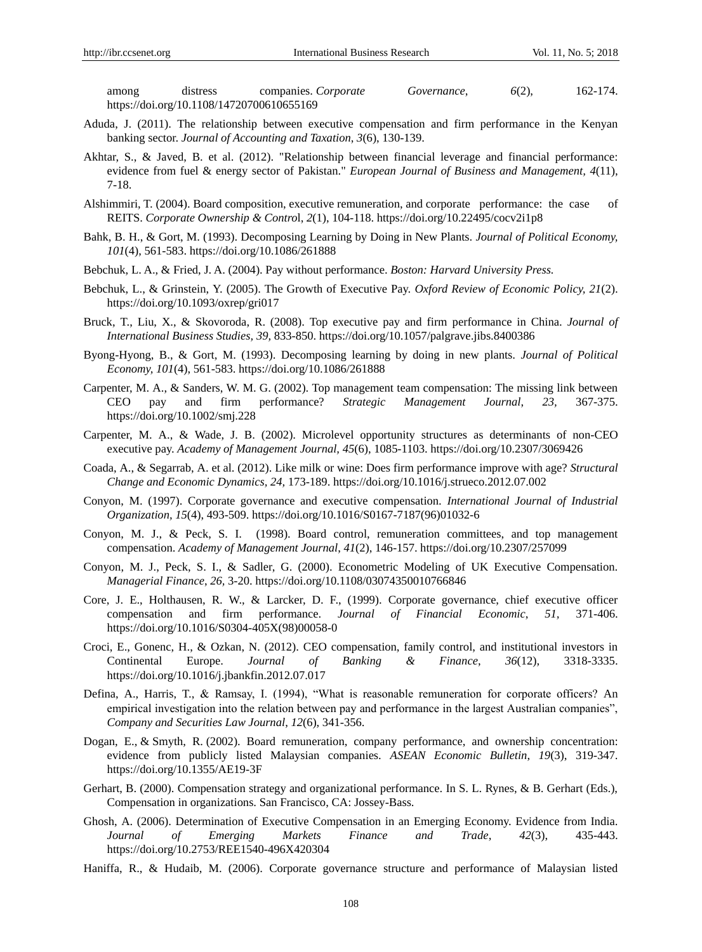among distress companies. *Corporate Governance*, *6*(2), 162-174. https://doi.org/10.1108/14720700610655169

- Aduda, J. (2011). The relationship between executive compensation and firm performance in the Kenyan banking sector. *Journal of Accounting and Taxation*, *3*(6), 130-139.
- Akhtar, S., & Javed, B. et al. (2012). "Relationship between financial leverage and financial performance: evidence from fuel & energy sector of Pakistan." *European Journal of Business and Management, 4*(11), 7-18.
- Alshimmiri, T. (2004). Board composition, executive remuneration, and corporate performance: the case of REITS. *Corporate Ownership & Contro*l, *2*(1), 104-118. https://doi.org/10.22495/cocv2i1p8
- Bahk, B. H., & Gort, M. (1993). Decomposing Learning by Doing in New Plants. *Journal of Political Economy, 101*(4), 561-583. https://doi.org/10.1086/261888
- Bebchuk, L. A., & Fried, J. A. (2004). Pay without performance. *Boston: Harvard University Press.*
- Bebchuk, L., & Grinstein, Y. (2005). The Growth of Executive Pay. *Oxford Review of Economic Policy, 21*(2). https://doi.org/10.1093/oxrep/gri017
- Bruck, T., Liu, X., & Skovoroda, R. (2008). Top executive pay and firm performance in China. *Journal of International Business Studies, 39,* 833-850. https://doi.org/10.1057/palgrave.jibs.8400386
- Byong-Hyong, B., & Gort, M. (1993). Decomposing learning by doing in new plants. *Journal of Political Economy, 101*(4), 561-583. https://doi.org/10.1086/261888
- Carpenter, M. A., & Sanders, W. M. G. (2002). Top management team compensation: The missing link between CEO pay and firm performance? *Strategic Management Journal*, *23,* 367-375. https://doi.org/10.1002/smj.228
- Carpenter, M. A., & Wade, J. B. (2002). Microlevel opportunity structures as determinants of non-CEO executive pay. *Academy of Management Journal, 45*(6), 1085-1103. https://doi.org/10.2307/3069426
- Coada, A., & Segarrab, A. et al. (2012). Like milk or wine: Does firm performance improve with age? *Structural Change and Economic Dynamics, 24,* 173-189. https://doi.org/10.1016/j.strueco.2012.07.002
- Conyon, M. (1997). Corporate governance and executive compensation. *International Journal of Industrial Organization, 15*(4), 493-509. https://doi.org/10.1016/S0167-7187(96)01032-6
- Conyon, M. J., & Peck, S. I. (1998). Board control, remuneration committees, and top management compensation. *Academy of Management Journal*, *41*(2), 146-157. https://doi.org/10.2307/257099
- Conyon, M. J., Peck, S. I., & Sadler, G. (2000). Econometric Modeling of UK Executive Compensation. *Managerial Finance*, *26,* 3-20. https://doi.org/10.1108/03074350010766846
- Core, J. E., Holthausen, R. W., & Larcker, D. F., (1999). Corporate governance, chief executive officer compensation and firm performance. *Journal of Financial Economic*, *51,* 371-406. https://doi.org/10.1016/S0304-405X(98)00058-0
- Croci, E., Gonenc, H., & Ozkan, N. (2012). CEO compensation, family control, and institutional investors in Continental Europe. *Journal of Banking & Finance*, *36*(12), 3318-3335. https://doi.org/10.1016/j.jbankfin.2012.07.017
- Defina, A., Harris, T., & Ramsay, I. (1994), "What is reasonable remuneration for corporate officers? An empirical investigation into the relation between pay and performance in the largest Australian companies", *Company and Securities Law Journal*, *12*(6), 341-356.
- Dogan, E., & Smyth, R. (2002). Board remuneration, company performance, and ownership concentration: evidence from publicly listed Malaysian companies. *ASEAN Economic Bulletin*, *19*(3), 319-347. https://doi.org/10.1355/AE19-3F
- Gerhart, B. (2000). Compensation strategy and organizational performance. In S. L. Rynes, & B. Gerhart (Eds.), Compensation in organizations. San Francisco, CA: Jossey-Bass.
- Ghosh, A. (2006). Determination of Executive Compensation in an Emerging Economy. Evidence from India. *Journal of Emerging Markets Finance and Trade*, *42*(3), 435-443. https://doi.org/10.2753/REE1540-496X420304
- Haniffa, R., & Hudaib, M. (2006). Corporate governance structure and performance of Malaysian listed